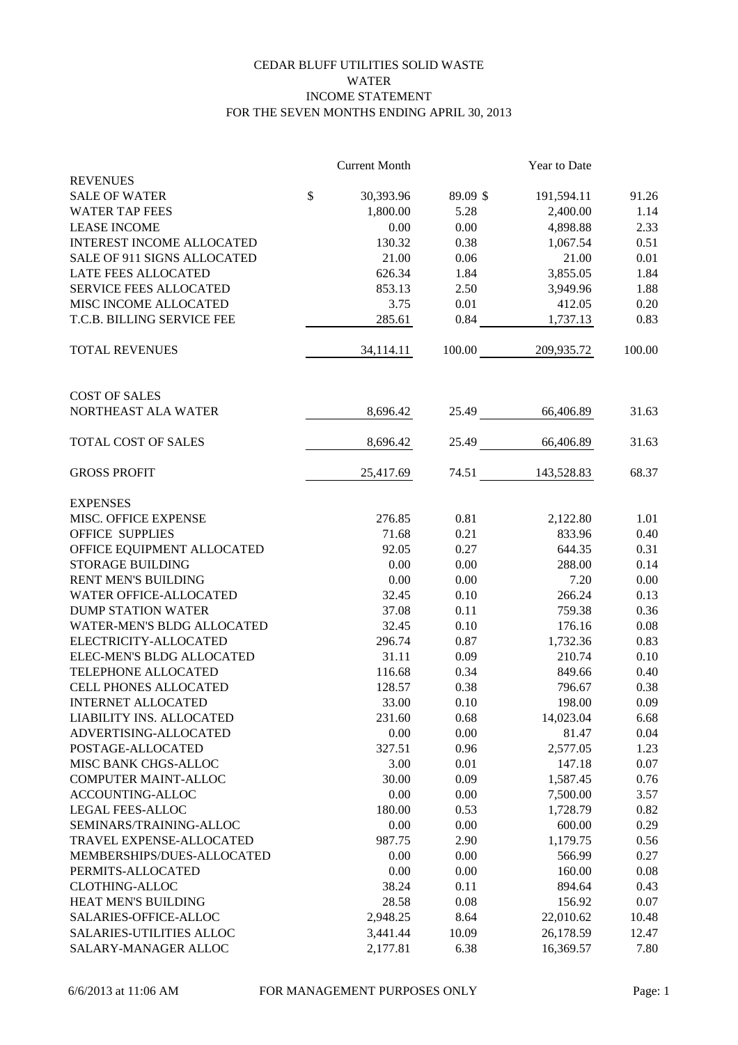## CEDAR BLUFF UTILITIES SOLID WASTE WATER INCOME STATEMENT FOR THE SEVEN MONTHS ENDING APRIL 30, 2013

|                                  |               | <b>Current Month</b> |          | Year to Date |        |
|----------------------------------|---------------|----------------------|----------|--------------|--------|
| <b>REVENUES</b>                  |               |                      |          |              |        |
| <b>SALE OF WATER</b>             | $\mathcal{S}$ | 30,393.96            | 89.09 \$ | 191,594.11   | 91.26  |
| <b>WATER TAP FEES</b>            |               | 1,800.00             | 5.28     | 2,400.00     | 1.14   |
| <b>LEASE INCOME</b>              |               | 0.00                 | 0.00     | 4,898.88     | 2.33   |
| <b>INTEREST INCOME ALLOCATED</b> |               | 130.32               | 0.38     | 1,067.54     | 0.51   |
| SALE OF 911 SIGNS ALLOCATED      |               | 21.00                | 0.06     | 21.00        | 0.01   |
| LATE FEES ALLOCATED              |               | 626.34               | 1.84     | 3,855.05     | 1.84   |
| <b>SERVICE FEES ALLOCATED</b>    |               | 853.13               | 2.50     | 3,949.96     | 1.88   |
| MISC INCOME ALLOCATED            |               | 3.75                 | 0.01     | 412.05       | 0.20   |
| T.C.B. BILLING SERVICE FEE       |               | 285.61               | 0.84     | 1,737.13     | 0.83   |
| <b>TOTAL REVENUES</b>            |               | 34,114.11            | 100.00   | 209,935.72   | 100.00 |
|                                  |               |                      |          |              |        |
| <b>COST OF SALES</b>             |               |                      |          |              |        |
| NORTHEAST ALA WATER              |               | 8,696.42             | 25.49    | 66,406.89    | 31.63  |
| TOTAL COST OF SALES              |               | 8,696.42             | 25.49    | 66,406.89    | 31.63  |
| <b>GROSS PROFIT</b>              |               | 25,417.69            | 74.51    | 143,528.83   | 68.37  |
| <b>EXPENSES</b>                  |               |                      |          |              |        |
| MISC. OFFICE EXPENSE             |               | 276.85               | 0.81     | 2,122.80     | 1.01   |
| <b>OFFICE SUPPLIES</b>           |               | 71.68                | 0.21     | 833.96       | 0.40   |
| OFFICE EQUIPMENT ALLOCATED       |               | 92.05                | 0.27     | 644.35       | 0.31   |
| <b>STORAGE BUILDING</b>          |               | 0.00                 | $0.00\,$ | 288.00       | 0.14   |
| <b>RENT MEN'S BUILDING</b>       |               | 0.00                 | $0.00\,$ | 7.20         | 0.00   |
| WATER OFFICE-ALLOCATED           |               | 32.45                | 0.10     | 266.24       | 0.13   |
| <b>DUMP STATION WATER</b>        |               | 37.08                | 0.11     | 759.38       | 0.36   |
| WATER-MEN'S BLDG ALLOCATED       |               | 32.45                | 0.10     | 176.16       | 0.08   |
| ELECTRICITY-ALLOCATED            |               | 296.74               | 0.87     | 1,732.36     | 0.83   |
| ELEC-MEN'S BLDG ALLOCATED        |               | 31.11                | 0.09     | 210.74       | 0.10   |
| TELEPHONE ALLOCATED              |               | 116.68               | 0.34     | 849.66       | 0.40   |
| CELL PHONES ALLOCATED            |               | 128.57               | 0.38     | 796.67       | 0.38   |
| <b>INTERNET ALLOCATED</b>        |               | 33.00                | 0.10     | 198.00       | 0.09   |
| LIABILITY INS. ALLOCATED         |               | 231.60               | 0.68     | 14,023.04    | 6.68   |
| ADVERTISING-ALLOCATED            |               | 0.00                 | 0.00     | 81.47        | 0.04   |
| POSTAGE-ALLOCATED                |               | 327.51               | 0.96     | 2,577.05     | 1.23   |
| MISC BANK CHGS-ALLOC             |               | 3.00                 | 0.01     | 147.18       | 0.07   |
| COMPUTER MAINT-ALLOC             |               | 30.00                | 0.09     | 1,587.45     | 0.76   |
| ACCOUNTING-ALLOC                 |               | 0.00                 | 0.00     | 7,500.00     | 3.57   |
| <b>LEGAL FEES-ALLOC</b>          |               | 180.00               | 0.53     | 1,728.79     | 0.82   |
| SEMINARS/TRAINING-ALLOC          |               | 0.00                 | 0.00     | 600.00       | 0.29   |
| TRAVEL EXPENSE-ALLOCATED         |               | 987.75               | 2.90     | 1,179.75     | 0.56   |
| MEMBERSHIPS/DUES-ALLOCATED       |               | 0.00                 | 0.00     | 566.99       | 0.27   |
| PERMITS-ALLOCATED                |               | 0.00                 | 0.00     | 160.00       | 0.08   |
| <b>CLOTHING-ALLOC</b>            |               | 38.24                | 0.11     | 894.64       | 0.43   |
| HEAT MEN'S BUILDING              |               | 28.58                | 0.08     | 156.92       | 0.07   |
| SALARIES-OFFICE-ALLOC            |               | 2,948.25             | 8.64     | 22,010.62    | 10.48  |
| <b>SALARIES-UTILITIES ALLOC</b>  |               | 3,441.44             | 10.09    | 26,178.59    | 12.47  |
| SALARY-MANAGER ALLOC             |               | 2,177.81             | 6.38     | 16,369.57    | 7.80   |
|                                  |               |                      |          |              |        |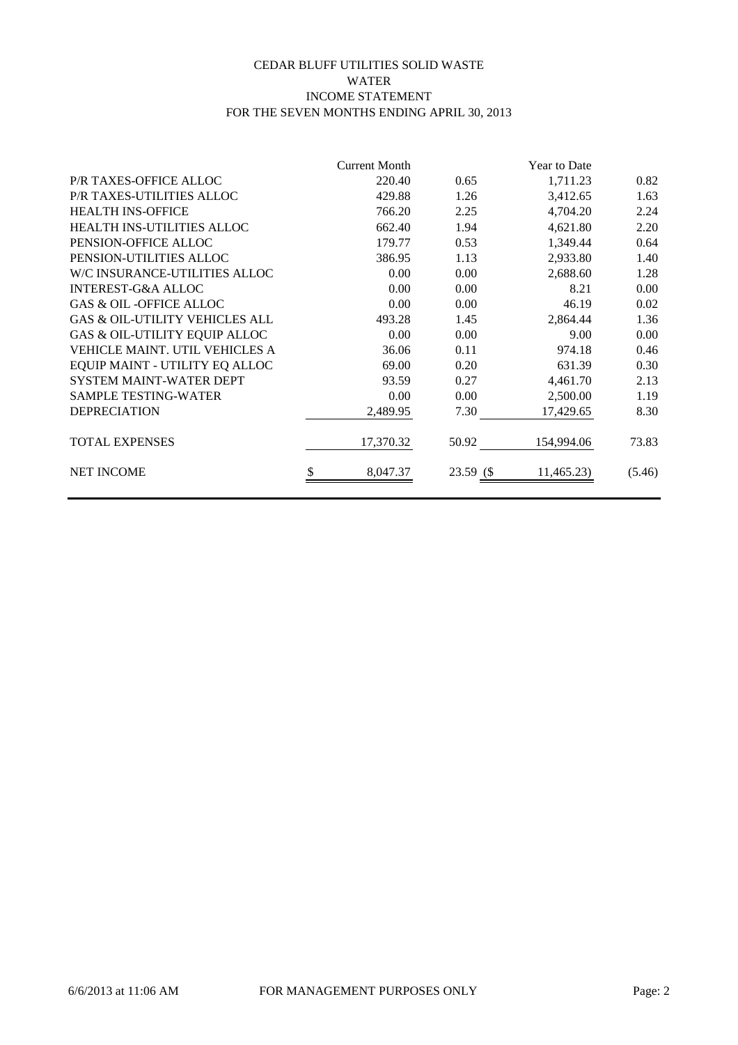## CEDAR BLUFF UTILITIES SOLID WASTE WATER INCOME STATEMENT FOR THE SEVEN MONTHS ENDING APRIL 30, 2013

|                                           | <b>Current Month</b> |           | Year to Date |        |
|-------------------------------------------|----------------------|-----------|--------------|--------|
| P/R TAXES-OFFICE ALLOC                    | 220.40               | 0.65      | 1,711.23     | 0.82   |
| P/R TAXES-UTILITIES ALLOC                 | 429.88               | 1.26      | 3,412.65     | 1.63   |
| <b>HEALTH INS-OFFICE</b>                  | 766.20               | 2.25      | 4,704.20     | 2.24   |
| HEALTH INS-UTILITIES ALLOC                | 662.40               | 1.94      | 4,621.80     | 2.20   |
| PENSION-OFFICE ALLOC                      | 179.77               | 0.53      | 1,349.44     | 0.64   |
| PENSION-UTILITIES ALLOC                   | 386.95               | 1.13      | 2,933.80     | 1.40   |
| W/C INSURANCE-UTILITIES ALLOC             | 0.00                 | 0.00      | 2,688.60     | 1.28   |
| <b>INTEREST-G&amp;A ALLOC</b>             | 0.00                 | 0.00      | 8.21         | 0.00   |
| <b>GAS &amp; OIL-OFFICE ALLOC</b>         | 0.00                 | 0.00      | 46.19        | 0.02   |
| <b>GAS &amp; OIL-UTILITY VEHICLES ALL</b> | 493.28               | 1.45      | 2,864.44     | 1.36   |
| <b>GAS &amp; OIL-UTILITY EQUIP ALLOC</b>  | 0.00                 | 0.00      | 9.00         | 0.00   |
| VEHICLE MAINT. UTIL VEHICLES A            | 36.06                | 0.11      | 974.18       | 0.46   |
| EQUIP MAINT - UTILITY EQ ALLOC            | 69.00                | 0.20      | 631.39       | 0.30   |
| <b>SYSTEM MAINT-WATER DEPT</b>            | 93.59                | 0.27      | 4,461.70     | 2.13   |
| <b>SAMPLE TESTING-WATER</b>               | 0.00                 | 0.00      | 2,500.00     | 1.19   |
| <b>DEPRECIATION</b>                       | 2,489.95             | 7.30      | 17,429.65    | 8.30   |
| <b>TOTAL EXPENSES</b>                     | 17,370.32            | 50.92     | 154,994.06   | 73.83  |
| <b>NET INCOME</b>                         | 8,047.37             | 23.59 (\$ | 11,465.23)   | (5.46) |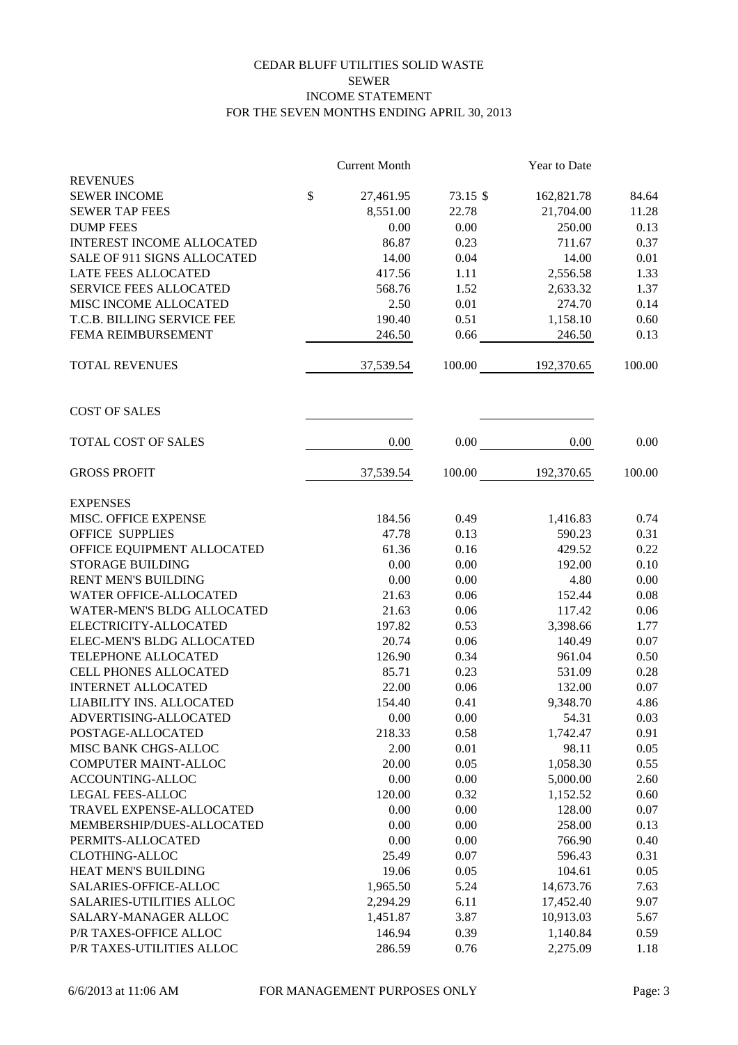## CEDAR BLUFF UTILITIES SOLID WASTE SEWER INCOME STATEMENT FOR THE SEVEN MONTHS ENDING APRIL 30, 2013

|                                  |              | <b>Current Month</b> |          | Year to Date |        |
|----------------------------------|--------------|----------------------|----------|--------------|--------|
| <b>REVENUES</b>                  |              |                      |          |              |        |
| <b>SEWER INCOME</b>              | $\mathbb{S}$ | 27,461.95            | 73.15 \$ | 162,821.78   | 84.64  |
| <b>SEWER TAP FEES</b>            |              | 8,551.00             | 22.78    | 21,704.00    | 11.28  |
| <b>DUMP FEES</b>                 |              | 0.00                 | 0.00     | 250.00       | 0.13   |
| <b>INTEREST INCOME ALLOCATED</b> |              | 86.87                | 0.23     | 711.67       | 0.37   |
| SALE OF 911 SIGNS ALLOCATED      |              | 14.00                | 0.04     | 14.00        | 0.01   |
| LATE FEES ALLOCATED              |              | 417.56               | 1.11     | 2,556.58     | 1.33   |
| <b>SERVICE FEES ALLOCATED</b>    |              | 568.76               | 1.52     | 2,633.32     | 1.37   |
| MISC INCOME ALLOCATED            |              | 2.50                 | 0.01     | 274.70       | 0.14   |
| T.C.B. BILLING SERVICE FEE       |              | 190.40               | 0.51     | 1,158.10     | 0.60   |
| FEMA REIMBURSEMENT               |              | 246.50               | 0.66     | 246.50       | 0.13   |
| <b>TOTAL REVENUES</b>            |              | 37,539.54            | 100.00   | 192,370.65   | 100.00 |
| <b>COST OF SALES</b>             |              |                      |          |              |        |
| TOTAL COST OF SALES              |              | 0.00                 | 0.00     | 0.00         | 0.00   |
| <b>GROSS PROFIT</b>              |              | 37,539.54            | 100.00   | 192,370.65   | 100.00 |
| <b>EXPENSES</b>                  |              |                      |          |              |        |
| MISC. OFFICE EXPENSE             |              | 184.56               | 0.49     | 1,416.83     | 0.74   |
| <b>OFFICE SUPPLIES</b>           |              | 47.78                | 0.13     | 590.23       | 0.31   |
| OFFICE EQUIPMENT ALLOCATED       |              | 61.36                | 0.16     | 429.52       | 0.22   |
| <b>STORAGE BUILDING</b>          |              | 0.00                 | 0.00     | 192.00       | 0.10   |
| <b>RENT MEN'S BUILDING</b>       |              | 0.00                 | 0.00     | 4.80         | 0.00   |
| WATER OFFICE-ALLOCATED           |              | 21.63                | 0.06     | 152.44       | 0.08   |
| WATER-MEN'S BLDG ALLOCATED       |              | 21.63                | 0.06     | 117.42       | 0.06   |
| ELECTRICITY-ALLOCATED            |              | 197.82               | 0.53     | 3,398.66     | 1.77   |
| ELEC-MEN'S BLDG ALLOCATED        |              | 20.74                | 0.06     | 140.49       | 0.07   |
| TELEPHONE ALLOCATED              |              | 126.90               | 0.34     | 961.04       | 0.50   |
| CELL PHONES ALLOCATED            |              | 85.71                | 0.23     | 531.09       | 0.28   |
| <b>INTERNET ALLOCATED</b>        |              | 22.00                | 0.06     | 132.00       | 0.07   |
| LIABILITY INS. ALLOCATED         |              | 154.40               | 0.41     | 9,348.70     | 4.86   |
| ADVERTISING-ALLOCATED            |              | 0.00                 | 0.00     | 54.31        | 0.03   |
| POSTAGE-ALLOCATED                |              | 218.33               | 0.58     | 1,742.47     | 0.91   |
| MISC BANK CHGS-ALLOC             |              | 2.00                 | 0.01     | 98.11        | 0.05   |
| <b>COMPUTER MAINT-ALLOC</b>      |              | 20.00                | 0.05     | 1,058.30     | 0.55   |
| ACCOUNTING-ALLOC                 |              | 0.00                 | 0.00     | 5,000.00     | 2.60   |
| LEGAL FEES-ALLOC                 |              | 120.00               | 0.32     | 1,152.52     | 0.60   |
| TRAVEL EXPENSE-ALLOCATED         |              | 0.00                 | 0.00     | 128.00       | 0.07   |
| MEMBERSHIP/DUES-ALLOCATED        |              | 0.00                 | 0.00     | 258.00       | 0.13   |
| PERMITS-ALLOCATED                |              | 0.00                 | 0.00     | 766.90       | 0.40   |
| <b>CLOTHING-ALLOC</b>            |              | 25.49                | 0.07     | 596.43       | 0.31   |
| HEAT MEN'S BUILDING              |              | 19.06                | 0.05     | 104.61       | 0.05   |
| SALARIES-OFFICE-ALLOC            |              | 1,965.50             | 5.24     | 14,673.76    | 7.63   |
| <b>SALARIES-UTILITIES ALLOC</b>  |              | 2,294.29             | 6.11     | 17,452.40    | 9.07   |
| SALARY-MANAGER ALLOC             |              | 1,451.87             | 3.87     | 10,913.03    | 5.67   |
| P/R TAXES-OFFICE ALLOC           |              | 146.94               | 0.39     | 1,140.84     | 0.59   |
| P/R TAXES-UTILITIES ALLOC        |              | 286.59               | 0.76     | 2,275.09     | 1.18   |